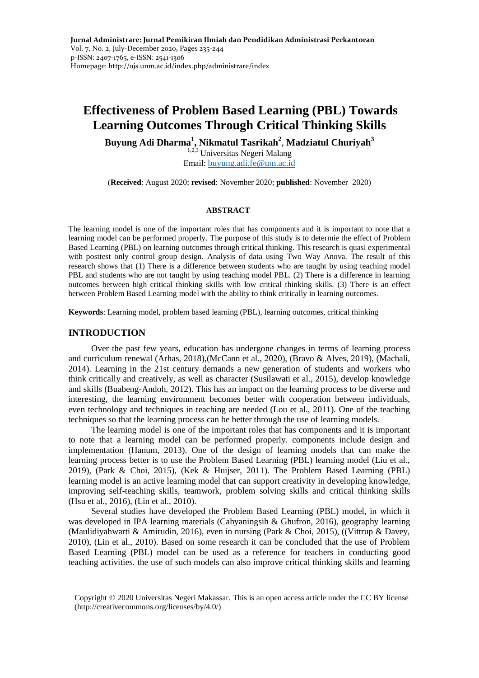# **Effectiveness of Problem Based Learning (PBL) Towards Learning Outcomes Through Critical Thinking Skills**

**Buyung Adi Dharma<sup>1</sup> , Nikmatul Tasrikah<sup>2</sup>** , **Madziatul Churiyah<sup>3</sup>**

 $1,2,3$  Universitas Negeri Malang Email: [buyung.adi.fe@um.ac.id](mailto:buyung.adi.fe@um.ac.id)

(**Received**: August 2020; **revised**: November 2020; **published**: November 2020)

#### **ABSTRACT**

The learning model is one of the important roles that has components and it is important to note that a learning model can be performed properly. The purpose of this study is to determie the effect of Problem Based Learning (PBL) on learning outcomes through critical thinking. This research is quasi experimental with posttest only control group design. Analysis of data using Two Way Anova. The result of this research shows that (1) There is a difference between students who are taught by using teaching model PBL and students who are not taught by using teaching model PBL. (2) There is a difference in learning outcomes between high critical thinking skills with low critical thinking skills. (3) There is an effect between Problem Based Learning model with the ability to think critically in learning outcomes.

**Keywords**: Learning model, problem based learning (PBL), learning outcomes, critical thinking

#### **INTRODUCTION**

Over the past few years, education has undergone changes in terms of learning process and curriculum renewal (Arhas, 2018),(McCann et al., 2020), (Bravo & Alves, 2019), (Machali, 2014). Learning in the 21st century demands a new generation of students and workers who think critically and creatively, as well as character (Susilawati et al., 2015), develop knowledge and skills (Buabeng-Andoh, 2012). This has an impact on the learning process to be diverse and interesting, the learning environment becomes better with cooperation between individuals, even technology and techniques in teaching are needed (Lou et al., 2011). One of the teaching techniques so that the learning process can be better through the use of learning models.

The learning model is one of the important roles that has components and it is important to note that a learning model can be performed properly. components include design and implementation (Hanum, 2013). One of the design of learning models that can make the learning process better is to use the Problem Based Learning (PBL) learning model (Liu et al., 2019), (Park & Choi, 2015), (Kek & Huijser, 2011). The Problem Based Learning (PBL) learning model is an active learning model that can support creativity in developing knowledge, improving self-teaching skills, teamwork, problem solving skills and critical thinking skills (Hsu et al., 2016), (Lin et al., 2010).

Several studies have developed the Problem Based Learning (PBL) model, in which it was developed in IPA learning materials (Cahyaningsih & Ghufron, 2016), geography learning (Maulidiyahwarti & Amirudin, 2016), even in nursing (Park & Choi, 2015), ((Vittrup & Davey, 2010), (Lin et al., 2010). Based on some research it can be concluded that the use of Problem Based Learning (PBL) model can be used as a reference for teachers in conducting good teaching activities. the use of such models can also improve critical thinking skills and learning

Copyright © 2020 Universitas Negeri Makassar. This is an open access article under the CC BY license (http://creativecommons.org/licenses/by/4.0/)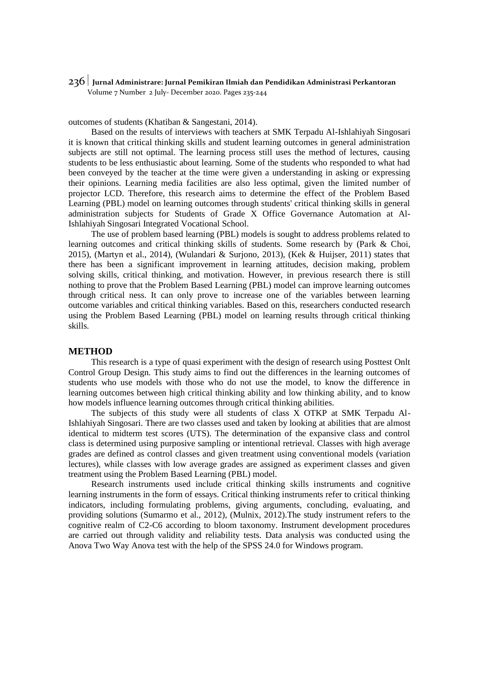## 236 **Jurnal Administrare: Jurnal Pemikiran Ilmiah dan Pendidikan Administrasi Perkantoran** Volume 7 Number 2 July- December 2020. Pages 235-244

outcomes of students (Khatiban & Sangestani, 2014).

Based on the results of interviews with teachers at SMK Terpadu Al-Ishlahiyah Singosari it is known that critical thinking skills and student learning outcomes in general administration subjects are still not optimal. The learning process still uses the method of lectures, causing students to be less enthusiastic about learning. Some of the students who responded to what had been conveyed by the teacher at the time were given a understanding in asking or expressing their opinions. Learning media facilities are also less optimal, given the limited number of projector LCD. Therefore, this research aims to determine the effect of the Problem Based Learning (PBL) model on learning outcomes through students' critical thinking skills in general administration subjects for Students of Grade X Office Governance Automation at Al-Ishlahiyah Singosari Integrated Vocational School.

The use of problem based learning (PBL) models is sought to address problems related to learning outcomes and critical thinking skills of students. Some research by (Park & Choi, 2015), (Martyn et al., 2014), (Wulandari & Surjono, 2013), (Kek & Huijser, 2011) states that there has been a significant improvement in learning attitudes, decision making, problem solving skills, critical thinking, and motivation. However, in previous research there is still nothing to prove that the Problem Based Learning (PBL) model can improve learning outcomes through critical ness. It can only prove to increase one of the variables between learning outcome variables and critical thinking variables. Based on this, researchers conducted research using the Problem Based Learning (PBL) model on learning results through critical thinking skills.

#### **METHOD**

This research is a type of quasi experiment with the design of research using Posttest Onlt Control Group Design. This study aims to find out the differences in the learning outcomes of students who use models with those who do not use the model, to know the difference in learning outcomes between high critical thinking ability and low thinking ability, and to know how models influence learning outcomes through critical thinking abilities.

The subjects of this study were all students of class X OTKP at SMK Terpadu Al-Ishlahiyah Singosari. There are two classes used and taken by looking at abilities that are almost identical to midterm test scores (UTS). The determination of the expansive class and control class is determined using purposive sampling or intentional retrieval. Classes with high average grades are defined as control classes and given treatment using conventional models (variation lectures), while classes with low average grades are assigned as experiment classes and given treatment using the Problem Based Learning (PBL) model.

Research instruments used include critical thinking skills instruments and cognitive learning instruments in the form of essays. Critical thinking instruments refer to critical thinking indicators, including formulating problems, giving arguments, concluding, evaluating, and providing solutions (Sumarmo et al., 2012), (Mulnix, 2012).The study instrument refers to the cognitive realm of C2-C6 according to bloom taxonomy. Instrument development procedures are carried out through validity and reliability tests. Data analysis was conducted using the Anova Two Way Anova test with the help of the SPSS 24.0 for Windows program.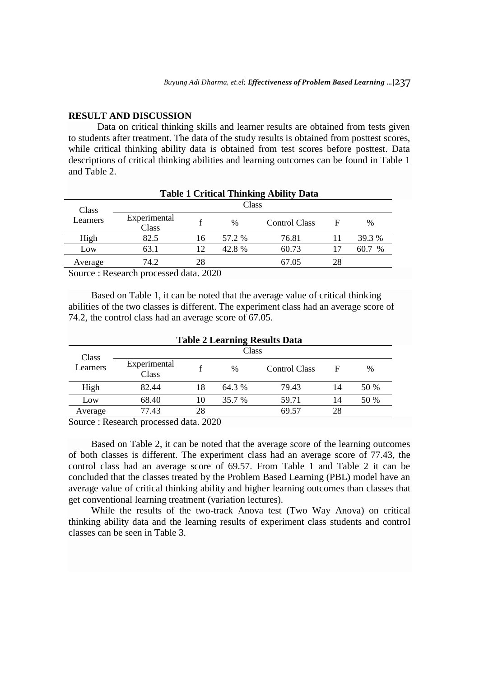#### **RESULT AND DISCUSSION**

Data on critical thinking skills and learner results are obtained from tests given to students after treatment. The data of the study results is obtained from posttest scores, while critical thinking ability data is obtained from test scores before posttest. Data descriptions of critical thinking abilities and learning outcomes can be found in Table 1 and Table 2.

|                   |                       |    |        | <b>Table 1 Critical Thinking Ability Data</b> |    |              |  |
|-------------------|-----------------------|----|--------|-----------------------------------------------|----|--------------|--|
| Class<br>Learners | Class                 |    |        |                                               |    |              |  |
|                   | Experimental<br>Class |    | $\%$   | Control Class                                 | F  | $\%$         |  |
| High              | 82.5                  | 16 | 57.2 % | 76.81                                         |    | 39.3 %       |  |
| Low               | 63.1                  | 12 | 42.8 % | 60.73                                         | 17 | 60.7<br>$\%$ |  |
| Average           | 74.2                  | 28 |        | 67.05                                         | 28 |              |  |

Source : Research processed data. 2020

Based on Table 1, it can be noted that the average value of critical thinking abilities of the two classes is different. The experiment class had an average score of 74.2, the control class had an average score of 67.05.

|                                    |                       |                                                                                                                                        |        | <b>Table 2 Learning Results Data</b> |    |      |  |
|------------------------------------|-----------------------|----------------------------------------------------------------------------------------------------------------------------------------|--------|--------------------------------------|----|------|--|
| Class                              | Class                 |                                                                                                                                        |        |                                      |    |      |  |
| Learners                           | Experimental<br>Class |                                                                                                                                        | $\%$   | Control Class                        | F  | $\%$ |  |
| High                               | 82.44                 | 18                                                                                                                                     | 64.3 % | 79.43                                | 14 | 50 % |  |
| Low                                | 68.40                 | 10                                                                                                                                     | 35.7 % | 59.71                                | 14 | 50 % |  |
| Average                            | 77.43                 | 28                                                                                                                                     |        | 69.57                                | 28 |      |  |
| $\sim$<br>$\overline{\phantom{a}}$ |                       | $\blacksquare$ $\blacksquare$ $\blacksquare$ $\blacksquare$ $\blacksquare$ $\blacksquare$ $\blacksquare$ $\blacksquare$ $\blacksquare$ |        |                                      |    |      |  |

Source : Research processed data. 2020

Based on Table 2, it can be noted that the average score of the learning outcomes of both classes is different. The experiment class had an average score of 77.43, the control class had an average score of 69.57. From Table 1 and Table 2 it can be concluded that the classes treated by the Problem Based Learning (PBL) model have an average value of critical thinking ability and higher learning outcomes than classes that get conventional learning treatment (variation lectures).

While the results of the two-track Anova test (Two Way Anova) on critical thinking ability data and the learning results of experiment class students and control classes can be seen in Table 3.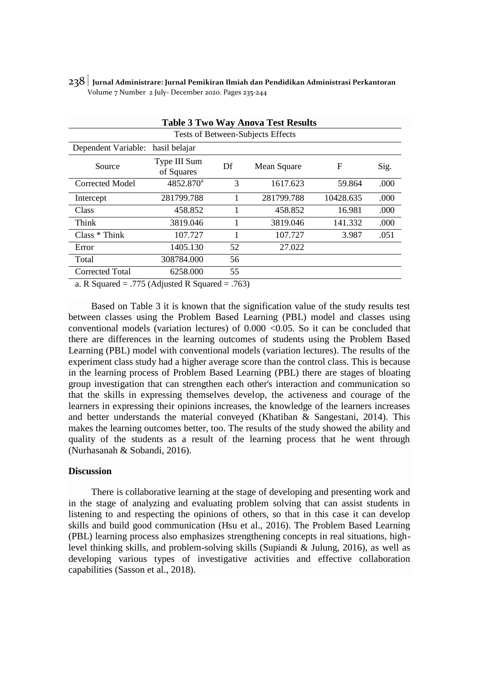|                                   |                                     |      | <b>Table 3 Two Way Anova Test Results</b> |           |      |  |  |  |
|-----------------------------------|-------------------------------------|------|-------------------------------------------|-----------|------|--|--|--|
| Tests of Between-Subjects Effects |                                     |      |                                           |           |      |  |  |  |
| Dependent Variable:               | hasil belajar                       |      |                                           |           |      |  |  |  |
| Source                            | Type III Sum<br>of Squares          | Df   | Mean Square                               | F         | Sig. |  |  |  |
| Corrected Model                   | $4852.870^a$                        | 3    | 1617.623                                  | 59.864    | .000 |  |  |  |
| Intercept                         | 281799.788                          |      | 281799.788                                | 10428.635 | .000 |  |  |  |
| Class                             | 458.852                             |      | 458.852                                   | 16.981    | .000 |  |  |  |
| Think                             | 3819.046                            |      | 3819.046                                  | 141.332   | .000 |  |  |  |
| $Class * Think$                   | 107.727                             |      | 107.727                                   | 3.987     | .051 |  |  |  |
| Error                             | 1405.130                            | 52   | 27.022                                    |           |      |  |  |  |
| Total                             | 308784.000                          | 56   |                                           |           |      |  |  |  |
| <b>Corrected Total</b>            | 6258.000                            | 55   |                                           |           |      |  |  |  |
| $\sim$ D C $\sim$ and $\sim$      | $775(A)$ $\ldots$ $\ldots$ $\ldots$ | 7(2) |                                           |           |      |  |  |  |

238 **Jurnal Administrare: Jurnal Pemikiran Ilmiah dan Pendidikan Administrasi Perkantoran** Volume 7 Number 2 July- December 2020. Pages 235-244

a. R Squared = .775 (Adjusted R Squared = .763)

Based on Table 3 it is known that the signification value of the study results test between classes using the Problem Based Learning (PBL) model and classes using conventional models (variation lectures) of  $0.000 < 0.05$ . So it can be concluded that there are differences in the learning outcomes of students using the Problem Based Learning (PBL) model with conventional models (variation lectures). The results of the experiment class study had a higher average score than the control class. This is because in the learning process of Problem Based Learning (PBL) there are stages of bloating group investigation that can strengthen each other's interaction and communication so that the skills in expressing themselves develop, the activeness and courage of the learners in expressing their opinions increases, the knowledge of the learners increases and better understands the material conveyed (Khatiban & Sangestani, 2014). This makes the learning outcomes better, too. The results of the study showed the ability and quality of the students as a result of the learning process that he went through (Nurhasanah & Sobandi, 2016).

# **Discussion**

There is collaborative learning at the stage of developing and presenting work and in the stage of analyzing and evaluating problem solving that can assist students in listening to and respecting the opinions of others, so that in this case it can develop skills and build good communication (Hsu et al., 2016). The Problem Based Learning (PBL) learning process also emphasizes strengthening concepts in real situations, highlevel thinking skills, and problem-solving skills (Supiandi & Julung, 2016), as well as developing various types of investigative activities and effective collaboration capabilities (Sasson et al., 2018).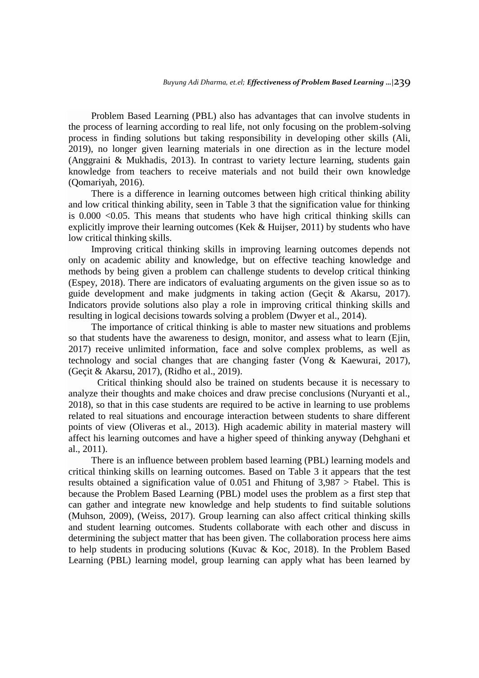Problem Based Learning (PBL) also has advantages that can involve students in the process of learning according to real life, not only focusing on the problem-solving process in finding solutions but taking responsibility in developing other skills (Ali, 2019), no longer given learning materials in one direction as in the lecture model (Anggraini & Mukhadis, 2013). In contrast to variety lecture learning, students gain knowledge from teachers to receive materials and not build their own knowledge (Qomariyah, 2016).

There is a difference in learning outcomes between high critical thinking ability and low critical thinking ability, seen in Table 3 that the signification value for thinking is 0.000 <0.05. This means that students who have high critical thinking skills can explicitly improve their learning outcomes (Kek & Huijser, 2011) by students who have low critical thinking skills.

Improving critical thinking skills in improving learning outcomes depends not only on academic ability and knowledge, but on effective teaching knowledge and methods by being given a problem can challenge students to develop critical thinking (Espey, 2018). There are indicators of evaluating arguments on the given issue so as to guide development and make judgments in taking action (Geçit & Akarsu, 2017). Indicators provide solutions also play a role in improving critical thinking skills and resulting in logical decisions towards solving a problem (Dwyer et al., 2014).

The importance of critical thinking is able to master new situations and problems so that students have the awareness to design, monitor, and assess what to learn (Ejin, 2017) receive unlimited information, face and solve complex problems, as well as technology and social changes that are changing faster (Vong & Kaewurai, 2017), (Geçit & Akarsu, 2017), (Ridho et al., 2019).

Critical thinking should also be trained on students because it is necessary to analyze their thoughts and make choices and draw precise conclusions (Nuryanti et al., 2018), so that in this case students are required to be active in learning to use problems related to real situations and encourage interaction between students to share different points of view (Oliveras et al., 2013). High academic ability in material mastery will affect his learning outcomes and have a higher speed of thinking anyway (Dehghani et al., 2011).

There is an influence between problem based learning (PBL) learning models and critical thinking skills on learning outcomes. Based on Table 3 it appears that the test results obtained a signification value of 0.051 and Fhitung of 3,987 > Ftabel. This is because the Problem Based Learning (PBL) model uses the problem as a first step that can gather and integrate new knowledge and help students to find suitable solutions (Muhson, 2009), (Weiss, 2017). Group learning can also affect critical thinking skills and student learning outcomes. Students collaborate with each other and discuss in determining the subject matter that has been given. The collaboration process here aims to help students in producing solutions (Kuvac & Koc, 2018). In the Problem Based Learning (PBL) learning model, group learning can apply what has been learned by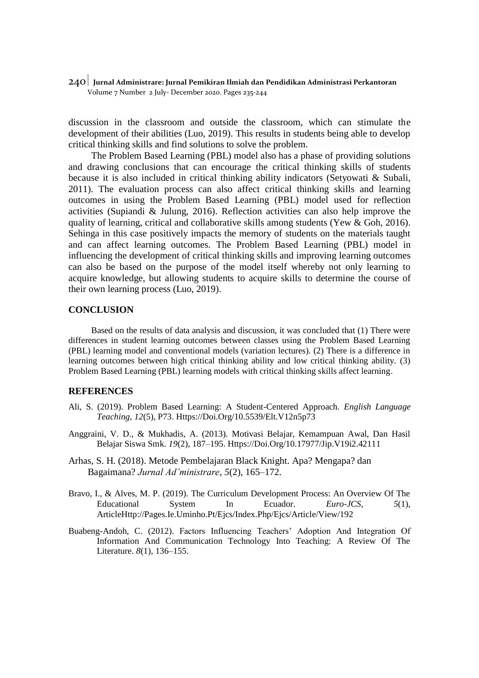240 **Jurnal Administrare: Jurnal Pemikiran Ilmiah dan Pendidikan Administrasi Perkantoran** Volume 7 Number 2 July- December 2020. Pages 235-244

discussion in the classroom and outside the classroom, which can stimulate the development of their abilities (Luo, 2019). This results in students being able to develop critical thinking skills and find solutions to solve the problem.

The Problem Based Learning (PBL) model also has a phase of providing solutions and drawing conclusions that can encourage the critical thinking skills of students because it is also included in critical thinking ability indicators (Setyowati & Subali, 2011). The evaluation process can also affect critical thinking skills and learning outcomes in using the Problem Based Learning (PBL) model used for reflection activities (Supiandi & Julung, 2016). Reflection activities can also help improve the quality of learning, critical and collaborative skills among students (Yew & Goh, 2016). Sehinga in this case positively impacts the memory of students on the materials taught and can affect learning outcomes. The Problem Based Learning (PBL) model in influencing the development of critical thinking skills and improving learning outcomes can also be based on the purpose of the model itself whereby not only learning to acquire knowledge, but allowing students to acquire skills to determine the course of their own learning process (Luo, 2019).

## **CONCLUSION**

Based on the results of data analysis and discussion, it was concluded that (1) There were differences in student learning outcomes between classes using the Problem Based Learning (PBL) learning model and conventional models (variation lectures). (2) There is a difference in learning outcomes between high critical thinking ability and low critical thinking ability. (3) Problem Based Learning (PBL) learning models with critical thinking skills affect learning.

# **REFERENCES**

- Ali, S. (2019). Problem Based Learning: A Student-Centered Approach. *English Language Teaching*, *12*(5), P73. Https://Doi.Org/10.5539/Elt.V12n5p73
- Anggraini, V. D., & Mukhadis, A. (2013). Motivasi Belajar, Kemampuan Awal, Dan Hasil Belajar Siswa Smk. *19*(2), 187–195. Https://Doi.Org/10.17977/Jip.V19i2.42111
- Arhas, S. H. (2018). Metode Pembelajaran Black Knight. Apa? Mengapa? dan Bagaimana? *Jurnal Ad'ministrare*, *5*(2), 165–172.
- Bravo, I., & Alves, M. P. (2019). The Curriculum Development Process: An Overview Of The Educational System In Ecuador. *Euro-JCS*, *5*(1), ArticleHttp://Pages.Ie.Uminho.Pt/Ejcs/Index.Php/Ejcs/Article/View/192
- Buabeng-Andoh, C. (2012). Factors Influencing Teachers' Adoption And Integration Of Information And Communication Technology Into Teaching: A Review Of The Literature. *8*(1), 136–155.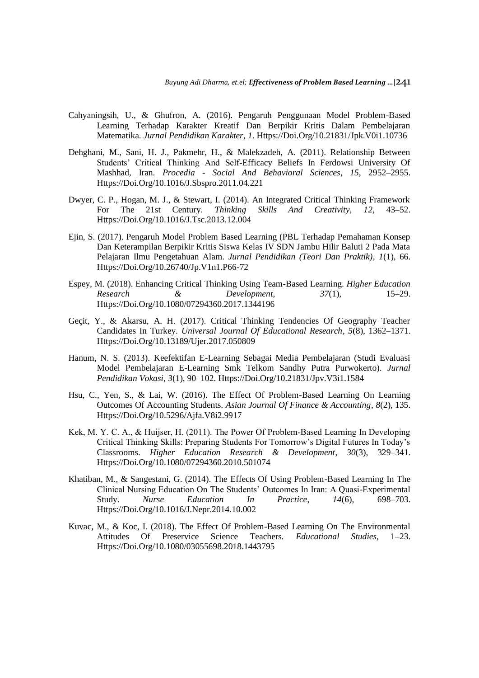- Cahyaningsih, U., & Ghufron, A. (2016). Pengaruh Penggunaan Model Problem-Based Learning Terhadap Karakter Kreatif Dan Berpikir Kritis Dalam Pembelajaran Matematika. *Jurnal Pendidikan Karakter*, *1*. Https://Doi.Org/10.21831/Jpk.V0i1.10736
- Dehghani, M., Sani, H. J., Pakmehr, H., & Malekzadeh, A. (2011). Relationship Between Students' Critical Thinking And Self-Efficacy Beliefs In Ferdowsi University Of Mashhad, Iran. *Procedia - Social And Behavioral Sciences*, *15*, 2952–2955. Https://Doi.Org/10.1016/J.Sbspro.2011.04.221
- Dwyer, C. P., Hogan, M. J., & Stewart, I. (2014). An Integrated Critical Thinking Framework For The 21st Century. *Thinking Skills And Creativity*, *12*, 43–52. Https://Doi.Org/10.1016/J.Tsc.2013.12.004
- Ejin, S. (2017). Pengaruh Model Problem Based Learning (PBL Terhadap Pemahaman Konsep Dan Keterampilan Berpikir Kritis Siswa Kelas IV SDN Jambu Hilir Baluti 2 Pada Mata Pelajaran Ilmu Pengetahuan Alam. *Jurnal Pendidikan (Teori Dan Praktik)*, *1*(1), 66. Https://Doi.Org/10.26740/Jp.V1n1.P66-72
- Espey, M. (2018). Enhancing Critical Thinking Using Team-Based Learning. *Higher Education Research & Development*, *37*(1), 15–29. Https://Doi.Org/10.1080/07294360.2017.1344196
- Geçit, Y., & Akarsu, A. H. (2017). Critical Thinking Tendencies Of Geography Teacher Candidates In Turkey. *Universal Journal Of Educational Research*, *5*(8), 1362–1371. Https://Doi.Org/10.13189/Ujer.2017.050809
- Hanum, N. S. (2013). Keefektifan E-Learning Sebagai Media Pembelajaran (Studi Evaluasi Model Pembelajaran E-Learning Smk Telkom Sandhy Putra Purwokerto). *Jurnal Pendidikan Vokasi*, *3*(1), 90–102. Https://Doi.Org/10.21831/Jpv.V3i1.1584
- Hsu, C., Yen, S., & Lai, W. (2016). The Effect Of Problem-Based Learning On Learning Outcomes Of Accounting Students. *Asian Journal Of Finance & Accounting*, *8*(2), 135. Https://Doi.Org/10.5296/Ajfa.V8i2.9917
- Kek, M. Y. C. A., & Huijser, H. (2011). The Power Of Problem‐Based Learning In Developing Critical Thinking Skills: Preparing Students For Tomorrow's Digital Futures In Today's Classrooms. *Higher Education Research & Development*, *30*(3), 329–341. Https://Doi.Org/10.1080/07294360.2010.501074
- Khatiban, M., & Sangestani, G. (2014). The Effects Of Using Problem-Based Learning In The Clinical Nursing Education On The Students' Outcomes In Iran: A Quasi-Experimental Study. *Nurse Education In Practice*, *14*(6), 698–703. Https://Doi.Org/10.1016/J.Nepr.2014.10.002
- Kuvac, M., & Koc, I. (2018). The Effect Of Problem-Based Learning On The Environmental Attitudes Of Preservice Science Teachers. *Educational Studies*, 1–23. Https://Doi.Org/10.1080/03055698.2018.1443795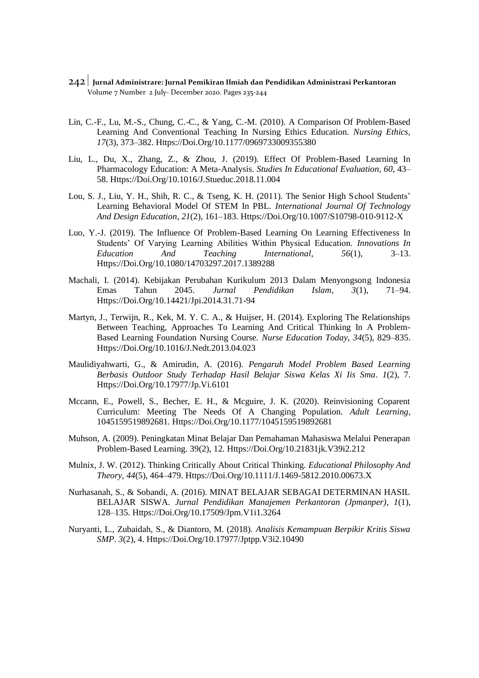- 242 **Jurnal Administrare: Jurnal Pemikiran Ilmiah dan Pendidikan Administrasi Perkantoran** Volume 7 Number 2 July- December 2020. Pages 235-244
- Lin, C.-F., Lu, M.-S., Chung, C.-C., & Yang, C.-M. (2010). A Comparison Of Problem-Based Learning And Conventional Teaching In Nursing Ethics Education. *Nursing Ethics*, *17*(3), 373–382. Https://Doi.Org/10.1177/0969733009355380
- Liu, L., Du, X., Zhang, Z., & Zhou, J. (2019). Effect Of Problem-Based Learning In Pharmacology Education: A Meta-Analysis. *Studies In Educational Evaluation*, *60*, 43– 58. Https://Doi.Org/10.1016/J.Stueduc.2018.11.004
- Lou, S. J., Liu, Y. H., Shih, R. C., & Tseng, K. H. (2011). The Senior High School Students' Learning Behavioral Model Of STEM In PBL. *International Journal Of Technology And Design Education*, *21*(2), 161–183. Https://Doi.Org/10.1007/S10798-010-9112-X
- Luo, Y.-J. (2019). The Influence Of Problem-Based Learning On Learning Effectiveness In Students' Of Varying Learning Abilities Within Physical Education. *Innovations In Education And Teaching International*, *56*(1), 3–13. Https://Doi.Org/10.1080/14703297.2017.1389288
- Machali, I. (2014). Kebijakan Perubahan Kurikulum 2013 Dalam Menyongsong Indonesia Emas Tahun 2045. *Jurnal Pendidikan Islam*, *3*(1), 71–94. Https://Doi.Org/10.14421/Jpi.2014.31.71-94
- Martyn, J., Terwijn, R., Kek, M. Y. C. A., & Huijser, H. (2014). Exploring The Relationships Between Teaching, Approaches To Learning And Critical Thinking In A Problem-Based Learning Foundation Nursing Course. *Nurse Education Today*, *34*(5), 829–835. Https://Doi.Org/10.1016/J.Nedt.2013.04.023
- Maulidiyahwarti, G., & Amirudin, A. (2016). *Pengaruh Model Problem Based Learning Berbasis Outdoor Study Terhadap Hasil Belajar Siswa Kelas Xi Iis Sma*. *1*(2), 7. Https://Doi.Org/10.17977/Jp.Vi.6101
- Mccann, E., Powell, S., Becher, E. H., & Mcguire, J. K. (2020). Reinvisioning Coparent Curriculum: Meeting The Needs Of A Changing Population. *Adult Learning*, 1045159519892681. Https://Doi.Org/10.1177/1045159519892681
- Muhson, A. (2009). Peningkatan Minat Belajar Dan Pemahaman Mahasiswa Melalui Penerapan Problem-Based Learning. 39(2), 12. Https://Doi.Org/10.21831jk.V39i2.212
- Mulnix, J. W. (2012). Thinking Critically About Critical Thinking. *Educational Philosophy And Theory*, *44*(5), 464–479. Https://Doi.Org/10.1111/J.1469-5812.2010.00673.X
- Nurhasanah, S., & Sobandi, A. (2016). MINAT BELAJAR SEBAGAI DETERMINAN HASIL BELAJAR SISWA. *Jurnal Pendidikan Manajemen Perkantoran (Jpmanper)*, *1*(1), 128–135. Https://Doi.Org/10.17509/Jpm.V1i1.3264
- Nuryanti, L., Zubaidah, S., & Diantoro, M. (2018). *Analisis Kemampuan Berpikir Kritis Siswa SMP*. *3*(2), 4. Https://Doi.Org/10.17977/Jptpp.V3i2.10490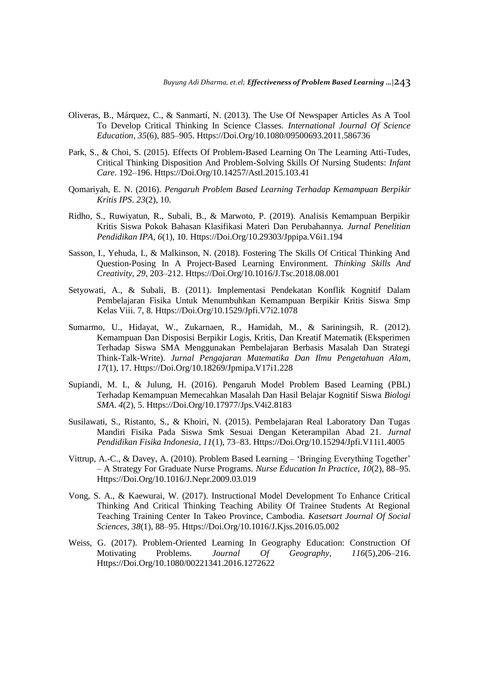- Oliveras, B., Márquez, C., & Sanmartí, N. (2013). The Use Of Newspaper Articles As A Tool To Develop Critical Thinking In Science Classes. *International Journal Of Science Education*, *35*(6), 885–905. Https://Doi.Org/10.1080/09500693.2011.586736
- Park, S., & Choi, S. (2015). Effects Of Problem-Based Learning On The Learning Atti-Tudes, Critical Thinking Disposition And Problem-Solving Skills Of Nursing Students: *Infant Care*. 192–196. Https://Doi.Org/10.14257/Astl.2015.103.41
- Qomariyah, E. N. (2016). *Pengaruh Problem Based Learning Terhadap Kemampuan Berpikir Kritis IPS*. *23*(2), 10.
- Ridho, S., Ruwiyatun, R., Subali, B., & Marwoto, P. (2019). Analisis Kemampuan Berpikir Kritis Siswa Pokok Bahasan Klasifikasi Materi Dan Perubahannya. *Jurnal Penelitian Pendidikan IPA*, *6*(1), 10. Https://Doi.Org/10.29303/Jppipa.V6i1.194
- Sasson, I., Yehuda, I., & Malkinson, N. (2018). Fostering The Skills Of Critical Thinking And Question-Posing In A Project-Based Learning Environment. *Thinking Skills And Creativity*, *29*, 203–212. Https://Doi.Org/10.1016/J.Tsc.2018.08.001
- Setyowati, A., & Subali, B. (2011). Implementasi Pendekatan Konflik Kognitif Dalam Pembelajaran Fisika Untuk Menumbuhkan Kemampuan Berpikir Kritis Siswa Smp Kelas Viii. 7, 8. Https://Doi.Org/10.1529/Jpfi.V7i2.1078
- Sumarmo, U., Hidayat, W., Zukarnaen, R., Hamidah, M., & Sariningsih, R. (2012). Kemampuan Dan Disposisi Berpikir Logis, Kritis, Dan Kreatif Matematik (Eksperimen Terhadap Siswa SMA Menggunakan Pembelajaran Berbasis Masalah Dan Strategi Think-Talk-Write). *Jurnal Pengajaran Matematika Dan Ilmu Pengetahuan Alam*, *17*(1), 17. Https://Doi.Org/10.18269/Jpmipa.V17i1.228
- Supiandi, M. I., & Julung, H. (2016). Pengaruh Model Problem Based Learning (PBL) Terhadap Kemampuan Memecahkan Masalah Dan Hasil Belajar Kognitif Siswa *Biologi SMA*. *4*(2), 5. Https://Doi.Org/10.17977/Jps.V4i2.8183
- Susilawati, S., Ristanto, S., & Khoiri, N. (2015). Pembelajaran Real Laboratory Dan Tugas Mandiri Fisika Pada Siswa Smk Sesuai Dengan Keterampilan Abad 21. *Jurnal Pendidikan Fisika Indonesia*, *11*(1), 73–83. Https://Doi.Org/10.15294/Jpfi.V11i1.4005
- Vittrup, A.-C., & Davey, A. (2010). Problem Based Learning 'Bringing Everything Together' – A Strategy For Graduate Nurse Programs. *Nurse Education In Practice*, *10*(2), 88–95. Https://Doi.Org/10.1016/J.Nepr.2009.03.019
- Vong, S. A., & Kaewurai, W. (2017). Instructional Model Development To Enhance Critical Thinking And Critical Thinking Teaching Ability Of Trainee Students At Regional Teaching Training Center In Takeo Province, Cambodia. *Kasetsart Journal Of Social Sciences*, *38*(1), 88–95. Https://Doi.Org/10.1016/J.Kjss.2016.05.002
- Weiss, G. (2017). Problem-Oriented Learning In Geography Education: Construction Of Motivating Problems. *Journal Of Geography*, *116*(5),206–216. Https://Doi.Org/10.1080/00221341.2016.1272622